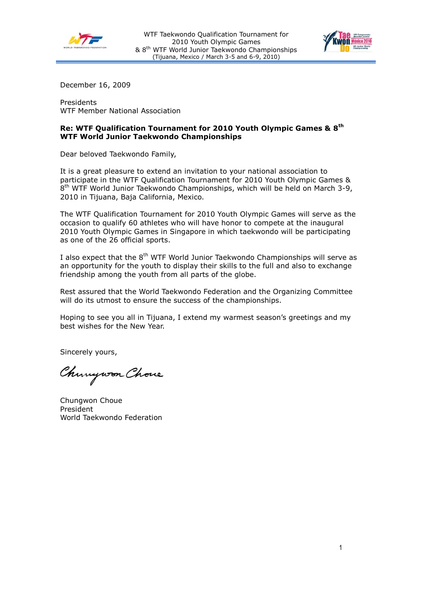



December 16, 2009

Presidents WTF Member National Association

## **Re: WTF Qualification Tournament for 2010 Youth Olympic Games & 8th WTF World Junior Taekwondo Championships**

Dear beloved Taekwondo Family,

It is a great pleasure to extend an invitation to your national association to participate in the WTF Qualification Tournament for 2010 Youth Olympic Games & 8<sup>th</sup> WTF World Junior Taekwondo Championships, which will be held on March 3-9, 2010 in Tijuana, Baja California, Mexico.

The WTF Qualification Tournament for 2010 Youth Olympic Games will serve as the occasion to qualify 60 athletes who will have honor to compete at the inaugural 2010 Youth Olympic Games in Singapore in which taekwondo will be participating as one of the 26 official sports.

I also expect that the  $8<sup>th</sup>$  WTF World Junior Taekwondo Championships will serve as an opportunity for the youth to display their skills to the full and also to exchange friendship among the youth from all parts of the globe.

Rest assured that the World Taekwondo Federation and the Organizing Committee will do its utmost to ensure the success of the championships.

Hoping to see you all in Tijuana, I extend my warmest season's greetings and my best wishes for the New Year.

Sincerely yours,

Chungwon Chove

Chungwon Choue President World Taekwondo Federation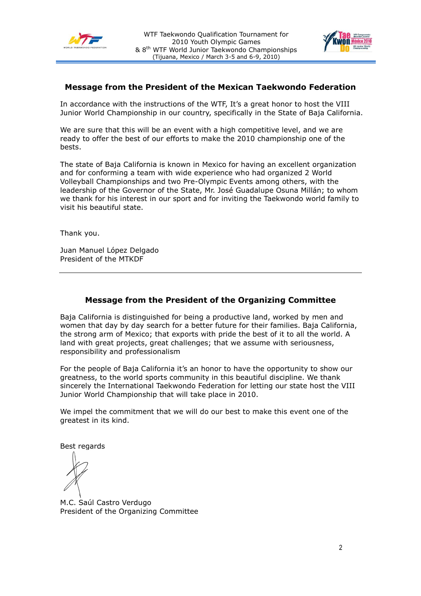



## **Message from the President of the Mexican Taekwondo Federation**

In accordance with the instructions of the WTF, It's a great honor to host the VIII Junior World Championship in our country, specifically in the State of Baja California.

We are sure that this will be an event with a high competitive level, and we are ready to offer the best of our efforts to make the 2010 championship one of the bests.

The state of Baja California is known in Mexico for having an excellent organization and for conforming a team with wide experience who had organized 2 World Volleyball Championships and two Pre-Olympic Events among others, with the leadership of the Governor of the State, Mr. José Guadalupe Osuna Millán; to whom we thank for his interest in our sport and for inviting the Taekwondo world family to visit his beautiful state.

Thank you.

Juan Manuel López Delgado President of the MTKDF

# **Message from the President of the Organizing Committee**

Baja California is distinguished for being a productive land, worked by men and women that day by day search for a better future for their families. Baja California, the strong arm of Mexico; that exports with pride the best of it to all the world. A land with great projects, great challenges; that we assume with seriousness, responsibility and professionalism

For the people of Baja California it's an honor to have the opportunity to show our greatness, to the world sports community in this beautiful discipline. We thank sincerely the International Taekwondo Federation for letting our state host the VIII Junior World Championship that will take place in 2010.

We impel the commitment that we will do our best to make this event one of the greatest in its kind.

Best regards

M.C. Saúl Castro Verdugo President of the Organizing Committee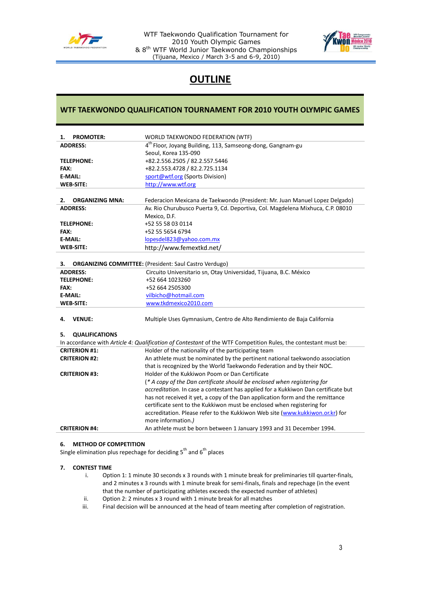

WTF Taekwondo Qualification Tournament for 2010 Youth Olympic Games & 8th WTF World Junior Taekwondo Championships (Tijuana, Mexico / March 3-5 and 6-9, 2010)



# **OUTLINE**

## **WTF TAEKWONDO QUALIFICATION TOURNAMENT FOR 2010 YOUTH OLYMPIC GAMES**

| <b>PROMOTER:</b><br>1.       | WORLD TAEKWONDO FEDERATION (WTF)                                                                                |  |
|------------------------------|-----------------------------------------------------------------------------------------------------------------|--|
| <b>ADDRESS:</b>              | 4 <sup>th</sup> Floor, Joyang Building, 113, Samseong-dong, Gangnam-gu                                          |  |
|                              | Seoul, Korea 135-090                                                                                            |  |
| <b>TELEPHONE:</b>            | +82.2.556.2505 / 82.2.557.5446                                                                                  |  |
| FAX:                         | +82.2.553.4728 / 82.2.725.1134                                                                                  |  |
| E-MAIL:                      | sport@wtf.org (Sports Division)                                                                                 |  |
| <b>WEB-SITE:</b>             |                                                                                                                 |  |
|                              | http://www.wtf.org                                                                                              |  |
| 2.<br><b>ORGANIZING MNA:</b> | Federacion Mexicana de Taekwondo (President: Mr. Juan Manuel Lopez Delgado)                                     |  |
| <b>ADDRESS:</b>              | Av. Rio Churubusco Puerta 9, Cd. Deportiva, Col. Magdelena Mixhuca, C.P. 08010                                  |  |
|                              | Mexico, D.F.                                                                                                    |  |
| <b>TELEPHONE:</b>            | +52 55 58 03 0114                                                                                               |  |
| FAX:                         | +52 55 5654 6794                                                                                                |  |
| E-MAIL:                      | lopesdel823@yahoo.com.mx                                                                                        |  |
| <b>WEB-SITE:</b>             | http://www.femextkd.net/                                                                                        |  |
|                              |                                                                                                                 |  |
| З.                           | <b>ORGANIZING COMMITTEE:</b> (President: Saul Castro Verdugo)                                                   |  |
| <b>ADDRESS:</b>              | Circuito Universitario sn, Otay Universidad, Tijuana, B.C. México                                               |  |
| <b>TELEPHONE:</b>            | +52 664 1023260                                                                                                 |  |
| FAX:                         | +52 664 2505300                                                                                                 |  |
| <b>E-MAIL:</b>               | vilbicho@hotmail.com                                                                                            |  |
| <b>WEB-SITE:</b>             | www.tkdmexico2010.com                                                                                           |  |
| <b>VENUE:</b><br>4.          | Multiple Uses Gymnasium, Centro de Alto Rendimiento de Baja California                                          |  |
| <b>QUALIFICATIONS</b><br>5.  |                                                                                                                 |  |
|                              | In accordance with Article 4: Qualification of Contestant of the WTF Competition Rules, the contestant must be: |  |
| <b>CRITERION #1:</b>         | Holder of the nationality of the participating team                                                             |  |
| <b>CRITERION #2:</b>         | An athlete must be nominated by the pertinent national taekwondo association                                    |  |
|                              | that is recognized by the World Taekwondo Federation and by their NOC.                                          |  |
| <b>CRITERION #3:</b>         | Holder of the Kukkiwon Poom or Dan Certificate                                                                  |  |
|                              | (* A copy of the Dan certificate should be enclosed when registering for                                        |  |
|                              | accreditation. In case a contestant has applied for a Kukkiwon Dan certificate but                              |  |
|                              | has not received it yet, a copy of the Dan application form and the remittance                                  |  |
|                              | certificate sent to the Kukkiwon must be enclosed when registering for                                          |  |
|                              | accreditation. Please refer to the Kukkiwon Web site (www.kukkiwon.or.kr) for                                   |  |
|                              | more information.)                                                                                              |  |
| <b>CRITERION #4:</b>         | An athlete must be born between 1 January 1993 and 31 December 1994.                                            |  |
|                              |                                                                                                                 |  |

## **6. METHOD OF COMPETITION**

Single elimination plus repechage for deciding  $5^{th}$  and  $6^{th}$  places

## **7. CONTEST TIME**

- i. Option 1: 1 minute 30 seconds x 3 rounds with 1 minute break for preliminaries till quarter-finals, and 2 minutes x 3 rounds with 1 minute break for semi-finals, finals and repechage (in the event that the number of participating athletes exceeds the expected number of athletes)
- ii. Option 2: 2 minutes x 3 round with 1 minute break for all matches
- iii. Final decision will be announced at the head of team meeting after completion of registration.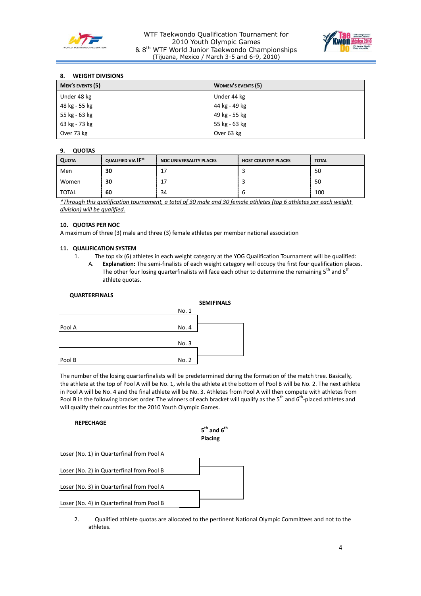

## WTF Taekwondo Qualification Tournament for 2010 Youth Olympic Games & 8th WTF World Junior Taekwondo Championships (Tijuana, Mexico / March 3-5 and 6-9, 2010)



## **8. WEIGHT DIVISIONS**

| <b>MEN'S EVENTS (5)</b> | <b>WOMEN'S EVENTS (5)</b> |
|-------------------------|---------------------------|
| Under 48 kg             | Under 44 kg               |
| 48 kg - 55 kg           | 44 kg - 49 kg             |
| 55 kg - 63 kg           | 49 kg - 55 kg             |
| 63 kg - 73 kg           | 55 kg - 63 kg             |
| Over 73 kg              | Over 63 kg                |

## **9. QUOTAS**

| <b>QUOTA</b> | QUALIFIED VIA IF* | <b>NOC UNIVERSALITY PLACES</b> | <b>HOST COUNTRY PLACES</b> | <b>TOTAL</b> |
|--------------|-------------------|--------------------------------|----------------------------|--------------|
| Men          | 30                | 17                             |                            | 50           |
| Women        | 30                | 17                             |                            | 50           |
| TOTAL        | 60                | 34                             |                            | 100          |

*\*Through this qualification tournament, a total of 30 male and 30 female athletes (top 6 athletes per each weight division) will be qualified.*

## **10. QUOTAS PER NOC**

A maximum of three (3) male and three (3) female athletes per member national association

#### **11. QUALIFICATION SYSTEM**

- 1. The top six (6) athletes in each weight category at the YOG Qualification Tournament will be qualified:
	- A. **Explanation:** The semi-finalists of each weight category will occupy the first four qualification places. The other four losing quarterfinalists will face each other to determine the remaining  $5<sup>th</sup>$  and  $6<sup>th</sup>$ athlete quotas.

| <b>QUARTERFINALS</b> |       |                   |
|----------------------|-------|-------------------|
|                      |       | <b>SEMIFINALS</b> |
|                      | No. 1 |                   |
|                      |       |                   |
| Pool A               | No. 4 |                   |
|                      |       |                   |
|                      | No. 3 |                   |
|                      |       |                   |
| Pool B               | No. 2 |                   |
|                      |       |                   |

The number of the losing quarterfinalists will be predetermined during the formation of the match tree. Basically, the athlete at the top of Pool A will be No. 1, while the athlete at the bottom of Pool B will be No. 2. The next athlete in Pool A will be No. 4 and the final athlete will be No. 3. Athletes from Pool A will then compete with athletes from Pool B in the following bracket order. The winners of each bracket will qualify as the 5<sup>th</sup> and 6<sup>th</sup>-placed athletes and will qualify their countries for the 2010 Youth Olympic Games.

#### **REPECHAGE**

| $5^{\text{th}}$ and $6^{\text{th}}$ |  |
|-------------------------------------|--|
| Placing                             |  |
|                                     |  |

Loser (No. 1) in Quarterfinal from Pool A

Loser (No. 2) in Quarterfinal from Pool B

Loser (No. 3) in Quarterfinal from Pool A

Loser (No. 4) in Quarterfinal from Pool B

2. Qualified athlete quotas are allocated to the pertinent National Olympic Committees and not to the athletes.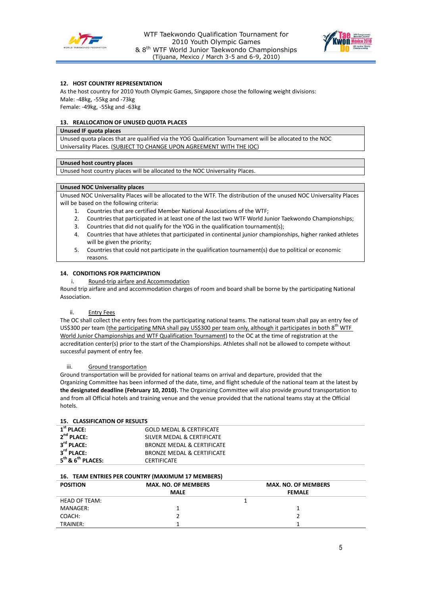



## **12. HOST COUNTRY REPRESENTATION**

As the host country for 2010 Youth Olympic Games, Singapore chose the following weight divisions: Male: -48kg, -55kg and -73kg

Female: -49kg, -55kg and -63kg

## **13. REALLOCATION OF UNUSED QUOTA PLACES**

### **Unused IF quota places**

Unused quota places that are qualified via the YOG Qualification Tournament will be allocated to the NOC Universality Places. (SUBJECT TO CHANGE UPON AGREEMENT WITH THE IOC)

#### **Unused host country places**

Unused host country places will be allocated to the NOC Universality Places.

#### **Unused NOC Universality places**

Unused NOC Universality Places will be allocated to the WTF. The distribution of the unused NOC Universality Places will be based on the following criteria:

- 1. Countries that are certified Member National Associations of the WTF;
- 2. Countries that participated in at least one of the last two WTF World Junior Taekwondo Championships;
- 3. Countries that did not qualify for the YOG in the qualification tournament(s);
- 4. Countries that have athletes that participated in continental junior championships, higher ranked athletes will be given the priority;
- 5. Countries that could not participate in the qualification tournament(s) due to political or economic reasons.

## **14. CONDITIONS FOR PARTICIPATION**

i. Round-trip airfare and Accommodation

Round trip airfare and and accommodation charges of room and board shall be borne by the participating National Association.

## ii. Entry Fees

The OC shall collect the entry fees from the participating national teams. The national team shall pay an entry fee of US\$300 per team (the participating MNA shall pay US\$300 per team only, although it participates in both 8<sup>th</sup> WTF World Junior Championships and WTF Qualification Tournament) to the OC at the time of registration at the accreditation center(s) prior to the start of the Championships. Athletes shall not be allowed to compete without successful payment of entry fee.

#### iii. Ground transportation

Ground transportation will be provided for national teams on arrival and departure, provided that the Organizing Committee has been informed of the date, time, and flight schedule of the national team at the latest by **the designated deadline (February 10, 2010).** The Organizing Committee will also provide ground transportation to and from all Official hotels and training venue and the venue provided that the national teams stay at the Official hotels.

## **15. CLASSIFICATION OF RESULTS**

| <b>IJ. CLAJJIHCAHUN UL INLJULIJ</b>                             |  |
|-----------------------------------------------------------------|--|
| $1st$ PLACE:<br><b>GOLD MEDAL &amp; CERTIFICATE</b>             |  |
| $2^{nd}$ PLACE:<br>SILVER MEDAL & CERTIFICATE                   |  |
| 3 <sup>rd</sup> PLACE:<br>BRONZE MEDAL & CERTIFICATE            |  |
| $3^{\text{rd}}$ PLACE:<br>BRONZE MEDAL & CERTIFICATE            |  |
| $5^{\text{th}}$ & $6^{\text{th}}$ PLACES:<br><b>CERTIFICATE</b> |  |

## **16. TEAM ENTRIES PER COUNTRY (MAXIMUM 17 MEMBERS)**

| <b>POSITION</b> | <b>MAX. NO. OF MEMBERS</b> | <b>MAX. NO. OF MEMBERS</b> |
|-----------------|----------------------------|----------------------------|
|                 | <b>MALE</b>                | <b>FEMALE</b>              |
| HEAD OF TEAM:   |                            |                            |
| MANAGER:        |                            |                            |
| COACH:          |                            |                            |
| TRAINER:        |                            |                            |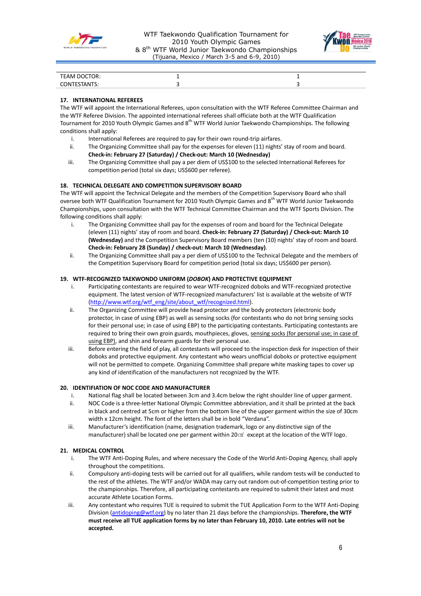



| TEAM DOCTOR:           |  |
|------------------------|--|
| "STANTS:<br>CONTE<br>ັ |  |

## **17. INTERNATIONAL REFEREES**

The WTF will appoint the International Referees, upon consultation with the WTF Referee Committee Chairman and the WTF Referee Division. The appointed international referees shall officiate both at the WTF Qualification Tournament for 2010 Youth Olympic Games and 8th WTF World Junior Taekwondo Championships. The following conditions shall apply:

- i. International Referees are required to pay for their own round-trip airfares.
- ii. The Organizing Committee shall pay for the expenses for eleven (11) nights' stay of room and board. **Check-in: February 27 (Saturday) / Check-out: March 10 (Wednesday)**
- iii. The Organizing Committee shall pay a per diem of US\$100 to the selected International Referees for competition period (total six days; US\$600 per referee).

## **18. TECHNICAL DELEGATE AND COMPETITION SUPERVISORY BOARD**

The WTF will appoint the Technical Delegate and the members of the Competition Supervisory Board who shall oversee both WTF Qualification Tournament for 2010 Youth Olympic Games and 8<sup>th</sup> WTF World Junior Taekwondo Championships, upon consultation with the WTF Technical Committee Chairman and the WTF Sports Division. The following conditions shall apply:

- i. The Organizing Committee shall pay for the expenses of room and board for the Technical Delegate (eleven (11) nights' stay of room and board. **Check-in: February 27 (Saturday) / Check-out: March 10 (Wednesday)** and the Competition Supervisory Board members (ten (10) nights' stay of room and board. **Check-in: February 28 (Sunday) / check-out: March 10 (Wednesday)**.
- ii. The Organizing Committee shall pay a per diem of US\$100 to the Technical Delegate and the members of the Competition Supervisory Board for competition period (total six days; US\$600 per person).

## **19. WTF-RECOGNIZED TAEKWONDO UNIFORM (***DOBOK***) AND PROTECTIVE EQUIPMENT**

- i. Participating contestants are required to wear WTF-recognized doboks and WTF-recognized protective equipment. The latest version of WTF-recognized manufacturers' list is available at the website of WTF [\(http://www.wtf.org/wtf\\_eng/site/about\\_wtf/recognized.html\)](http://www.wtf.org/wtf_eng/site/about_wtf/recognized.html).
- ii. The Organizing Committee will provide head protector and the body protectors (electronic body protector, in case of using EBP) as well as sensing socks (for contestants who do not bring sensing socks for their personal use; in case of using EBP) to the participating contestants. Participating contestants are required to bring their own groin guards, mouthpieces, gloves, sensing socks (for personal use; in case of using EBP), and shin and forearm guards for their personal use.
- iii. Before entering the field of play, all contestants will proceed to the inspection desk for inspection of their doboks and protective equipment. Any contestant who wears unofficial doboks or protective equipment will not be permitted to compete. Organizing Committee shall prepare white masking tapes to cover up any kind of identification of the manufacturers not recognized by the WTF.

## **20. IDENTIFIATION OF NOC CODE AND MANUFACTURER**

- i. National flag shall be located between 3cm and 3.4cm below the right shoulder line of upper garment.
- ii. NOC Code is a three-letter National Olympic Committee abbreviation, and it shall be printed at the back in black and centred at 5cm or higher from the bottom line of the upper garment within the size of 30cm width x 12cm height. The font of the letters shall be in bold "Verdana".
- iii. Manufacturer's identification (name, designation trademark, logo or any distinctive sign of the manufacturer) shall be located one per garment within 20 $\text{cm}^2$  except at the location of the WTF logo.

## **21. MEDICAL CONTROL**

- i. The WTF Anti-Doping Rules, and where necessary the Code of the World Anti-Doping Agency, shall apply throughout the competitions.
- ii. Compulsory anti-doping tests will be carried out for all qualifiers, while random tests will be conducted to the rest of the athletes. The WTF and/or WADA may carry out random out-of-competition testing prior to the championships. Therefore, all participating contestants are required to submit their latest and most accurate Athlete Location Forms.
- iii. Any contestant who requires TUE is required to submit the TUE Application Form to the WTF Anti-Doping Division [\(antidoping@wtf.org\)](mailto:antidoping@wtf.org) by no later than 21 days before the championships. **Therefore, the WTF must receive all TUE application forms by no later than February 10, 2010. Late entries will not be accepted.**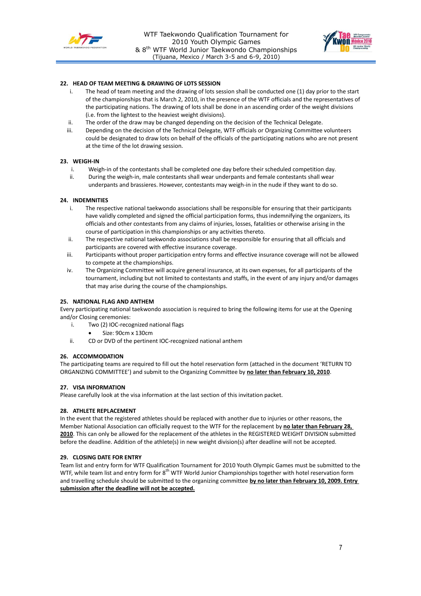



## **22. HEAD OF TEAM MEETING & DRAWING OF LOTS SESSION**

- The head of team meeting and the drawing of lots session shall be conducted one (1) day prior to the start of the championships that is March 2, 2010, in the presence of the WTF officials and the representatives of the participating nations. The drawing of lots shall be done in an ascending order of the weight divisions (i.e. from the lightest to the heaviest weight divisions).
- ii. The order of the draw may be changed depending on the decision of the Technical Delegate.
- iii. Depending on the decision of the Technical Delegate, WTF officials or Organizing Committee volunteers could be designated to draw lots on behalf of the officials of the participating nations who are not present at the time of the lot drawing session.

#### **23. WEIGH-IN**

- i. Weigh-in of the contestants shall be completed one day before their scheduled competition day.
- ii. During the weigh-in, male contestants shall wear underpants and female contestants shall wear underpants and brassieres. However, contestants may weigh-in in the nude if they want to do so.

#### **24. INDEMNITIES**

- i. The respective national taekwondo associations shall be responsible for ensuring that their participants have validly completed and signed the official participation forms, thus indemnifying the organizers, its officials and other contestants from any claims of injuries, losses, fatalities or otherwise arising in the course of participation in this championships or any activities thereto.
- ii. The respective national taekwondo associations shall be responsible for ensuring that all officials and participants are covered with effective insurance coverage.
- iii. Participants without proper participation entry forms and effective insurance coverage will not be allowed to compete at the championships.
- iv. The Organizing Committee will acquire general insurance, at its own expenses, for all participants of the tournament, including but not limited to contestants and staffs, in the event of any injury and/or damages that may arise during the course of the championships.

### **25. NATIONAL FLAG AND ANTHEM**

Every participating national taekwondo association is required to bring the following items for use at the Opening and/or Closing ceremonies:

- i. Two (2) IOC-recognized national flags
	- Size: 90cm x 130cm
- ii. CD or DVD of the pertinent IOC-recognized national anthem

#### **26. ACCOMMODATION**

The participating teams are required to fill out the hotel reservation form (attached in the document 'RETURN TO ORGANIZING COMMITTEE') and submit to the Organizing Committee by **no later than February 10, 2010**.

#### **27. VISA INFORMATION**

Please carefully look at the visa information at the last section of this invitation packet.

#### **28. ATHLETE REPLACEMENT**

In the event that the registered athletes should be replaced with another due to injuries or other reasons, the Member National Association can officially request to the WTF for the replacement by **no later than February 28, 2010**. This can only be allowed for the replacement of the athletes in the REGISTERED WEIGHT DIVISION submitted before the deadline. Addition of the athlete(s) in new weight division(s) after deadline will not be accepted.

#### **29. CLOSING DATE FOR ENTRY**

Team list and entry form for WTF Qualification Tournament for 2010 Youth Olympic Games must be submitted to the WTF, while team list and entry form for 8<sup>th</sup> WTF World Junior Championships together with hotel reservation form and travelling schedule should be submitted to the organizing committee **by no later than February 10, 2009. Entry submission after the deadline will not be accepted.**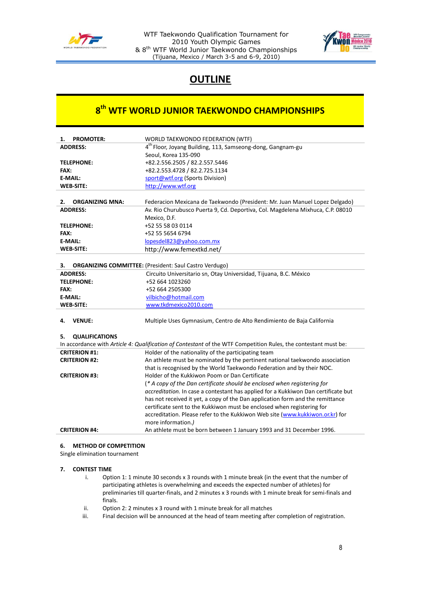

WTF Taekwondo Qualification Tournament for 2010 Youth Olympic Games & 8th WTF World Junior Taekwondo Championships (Tijuana, Mexico / March 3-5 and 6-9, 2010)



# **OUTLINE**

# **8 th WTF WORLD JUNIOR TAEKWONDO CHAMPIONSHIPS**

| <b>PROMOTER:</b><br>1.       | WORLD TAEKWONDO FEDERATION (WTF)                                                                                |  |
|------------------------------|-----------------------------------------------------------------------------------------------------------------|--|
| <b>ADDRESS:</b>              | 4 <sup>th</sup> Floor, Joyang Building, 113, Samseong-dong, Gangnam-gu                                          |  |
|                              | Seoul, Korea 135-090                                                                                            |  |
| <b>TELEPHONE:</b>            | +82.2.556.2505 / 82.2.557.5446                                                                                  |  |
| FAX:                         | +82.2.553.4728 / 82.2.725.1134                                                                                  |  |
| E-MAIL:                      | sport@wtf.org (Sports Division)                                                                                 |  |
| <b>WEB-SITE:</b>             | http://www.wtf.org                                                                                              |  |
|                              |                                                                                                                 |  |
| 2.<br><b>ORGANIZING MNA:</b> | Federacion Mexicana de Taekwondo (President: Mr. Juan Manuel Lopez Delgado)                                     |  |
| <b>ADDRESS:</b>              | Av. Rio Churubusco Puerta 9, Cd. Deportiva, Col. Magdelena Mixhuca, C.P. 08010                                  |  |
|                              | Mexico, D.F.                                                                                                    |  |
| <b>TELEPHONE:</b>            | +52 55 58 03 0114                                                                                               |  |
| FAX:                         | +52 55 5654 6794                                                                                                |  |
| <b>E-MAIL:</b>               | lopesdel823@yahoo.com.mx                                                                                        |  |
| <b>WEB-SITE:</b>             | http://www.femextkd.net/                                                                                        |  |
|                              |                                                                                                                 |  |
| 3.                           | <b>ORGANIZING COMMITTEE:</b> (President: Saul Castro Verdugo)                                                   |  |
| <b>ADDRESS:</b>              | Circuito Universitario sn, Otay Universidad, Tijuana, B.C. México                                               |  |
| <b>TELEPHONE:</b>            | +52 664 1023260                                                                                                 |  |
| FAX:                         | +52 664 2505300                                                                                                 |  |
| E-MAIL:                      | vilbicho@hotmail.com                                                                                            |  |
| <b>WEB-SITE:</b>             | www.tkdmexico2010.com                                                                                           |  |
| <b>VENUE:</b><br>4.          | Multiple Uses Gymnasium, Centro de Alto Rendimiento de Baja California                                          |  |
|                              |                                                                                                                 |  |
| <b>QUALIFICATIONS</b><br>5.  |                                                                                                                 |  |
|                              | In accordance with Article 4: Qualification of Contestant of the WTF Competition Rules, the contestant must be: |  |
| <b>CRITERION #1:</b>         | Holder of the nationality of the participating team                                                             |  |
| <b>CRITERION #2:</b>         | An athlete must be nominated by the pertinent national taekwondo association                                    |  |
|                              | that is recognised by the World Taekwondo Federation and by their NOC.                                          |  |
| <b>CRITERION #3:</b>         | Holder of the Kukkiwon Poom or Dan Certificate                                                                  |  |
|                              | (* A copy of the Dan certificate should be enclosed when registering for                                        |  |
|                              | accreditation. In case a contestant has applied for a Kukkiwon Dan certificate but                              |  |
|                              | has not received it yet, a copy of the Dan application form and the remittance                                  |  |
|                              | certificate sent to the Kukkiwon must be enclosed when registering for                                          |  |
|                              | accreditation. Please refer to the Kukkiwon Web site (www.kukkiwon.or.kr) for                                   |  |
|                              | more information.)                                                                                              |  |
| <b>CRITERION #4:</b>         | An athlete must be born between 1 January 1993 and 31 December 1996.                                            |  |

## **6. METHOD OF COMPETITION**

Single elimination tournament

## **7. CONTEST TIME**

- i. Option 1: 1 minute 30 seconds x 3 rounds with 1 minute break (in the event that the number of participating athletes is overwhelming and exceeds the expected number of athletes) for preliminaries till quarter-finals, and 2 minutes x 3 rounds with 1 minute break for semi-finals and finals.
- ii. Option 2: 2 minutes x 3 round with 1 minute break for all matches
- iii. Final decision will be announced at the head of team meeting after completion of registration.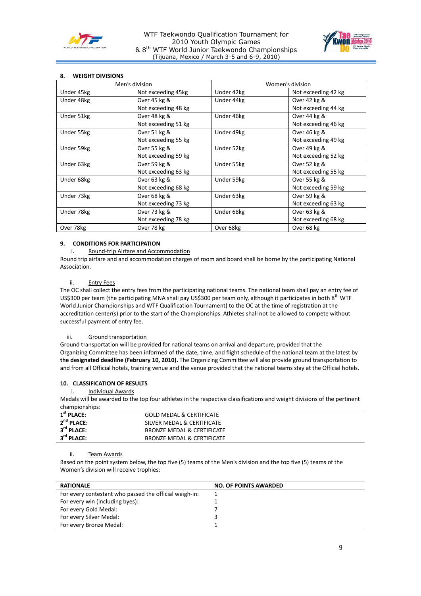



## **8. WEIGHT DIVISIONS**

| Men's division |                     | Women's division |                     |
|----------------|---------------------|------------------|---------------------|
| Under 45kg     | Not exceeding 45kg  | Under 42kg       | Not exceeding 42 kg |
| Under 48kg     | Over 45 kg &        | Under 44kg       | Over 42 kg &        |
|                | Not exceeding 48 kg |                  | Not exceeding 44 kg |
| Under 51kg     | Over 48 kg &        | Under 46kg       | Over 44 kg &        |
|                | Not exceeding 51 kg |                  | Not exceeding 46 kg |
| Under 55kg     | Over 51 kg &        | Under 49kg       | Over 46 kg &        |
|                | Not exceeding 55 kg |                  | Not exceeding 49 kg |
| Under 59kg     | Over 55 kg &        | Under 52kg       | Over 49 kg &        |
|                | Not exceeding 59 kg |                  | Not exceeding 52 kg |
| Under 63kg     | Over 59 kg &        | Under 55kg       | Over 52 kg &        |
|                | Not exceeding 63 kg |                  | Not exceeding 55 kg |
| Under 68kg     | Over 63 kg &        | Under 59kg       | Over 55 kg &        |
|                | Not exceeding 68 kg |                  | Not exceeding 59 kg |
| Under 73kg     | Over 68 kg &        | Under 63kg       | Over 59 kg &        |
|                | Not exceeding 73 kg |                  | Not exceeding 63 kg |
| Under 78kg     | Over 73 kg &        | Under 68kg       | Over 63 kg &        |
|                | Not exceeding 78 kg |                  | Not exceeding 68 kg |
| Over 78kg      | Over 78 kg          | Over 68kg        | Over 68 kg          |

## **9. CONDITIONS FOR PARTICIPATION**

i. Round-trip Airfare and Accommodation

Round trip airfare and and accommodation charges of room and board shall be borne by the participating National Association.

#### ii. Entry Fees

The OC shall collect the entry fees from the participating national teams. The national team shall pay an entry fee of US\$300 per team (the participating MNA shall pay US\$300 per team only, although it participates in both 8<sup>th</sup> WTF World Junior Championships and WTF Qualification Tournament) to the OC at the time of registration at the accreditation center(s) prior to the start of the Championships. Athletes shall not be allowed to compete without successful payment of entry fee.

#### iii. Ground transportation

Ground transportation will be provided for national teams on arrival and departure, provided that the Organizing Committee has been informed of the date, time, and flight schedule of the national team at the latest by **the designated deadline (February 10, 2010).** The Organizing Committee will also provide ground transportation to and from all Official hotels, training venue and the venue provided that the national teams stay at the Official hotels.

## **10. CLASSIFICATION OF RESULTS**

## i. Individual Awards

Medals will be awarded to the top four athletes in the respective classifications and weight divisions of the pertinent championships:

| $1^{\rm st}$ PLACE:    | <b>GOLD MEDAL &amp; CERTIFICATE</b> |
|------------------------|-------------------------------------|
| $2^{nd}$ PLACE:        | SILVER MEDAL & CERTIFICATE          |
| $3^{rd}$ PLACE:        | BRONZE MEDAL & CERTIFICATE          |
| $3^{\text{rd}}$ PLACE: | BRONZE MEDAL & CERTIFICATE          |

#### ii. Team Awards

Based on the point system below, the top five (5) teams of the Men's division and the top five (5) teams of the Women's division will receive trophies:

| <b>RATIONALE</b>                                       | <b>NO. OF POINTS AWARDED</b> |
|--------------------------------------------------------|------------------------------|
| For every contestant who passed the official weigh-in: |                              |
| For every win (including byes):                        |                              |
| For every Gold Medal:                                  |                              |
| For every Silver Medal:                                |                              |
| For every Bronze Medal:                                |                              |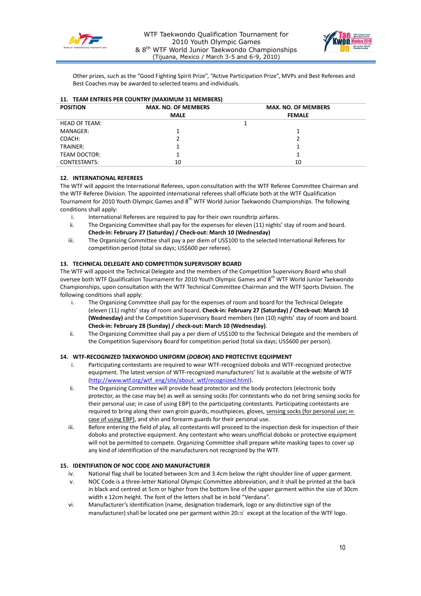



Other prizes, such as the "Good Fighting Spirit Prize", "Active Participation Prize", MVPs and Best Referees and Best Coaches may be awarded to selected teams and individuals.

## **11. TEAM ENTRIES PER COUNTRY (MAXIMUM 31 MEMBERS)**

| <b>POSITION</b>      | <b>MAX. NO. OF MEMBERS</b> | <b>MAX. NO. OF MEMBERS</b> |  |
|----------------------|----------------------------|----------------------------|--|
|                      | <b>MALE</b>                | <b>FEMALE</b>              |  |
| <b>HEAD OF TEAM:</b> |                            |                            |  |
| MANAGER:             |                            |                            |  |
| COACH:               |                            |                            |  |
| TRAINER:             |                            |                            |  |
| TEAM DOCTOR:         |                            |                            |  |
| CONTESTANTS:         | 10                         | 10                         |  |

## **12. INTERNATIONAL REFEREES**

The WTF will appoint the International Referees, upon consultation with the WTF Referee Committee Chairman and the WTF Referee Division. The appointed international referees shall officiate both at the WTF Qualification Tournament for 2010 Youth Olympic Games and 8<sup>th</sup> WTF World Junior Taekwondo Championships. The following conditions shall apply:

- i. International Referees are required to pay for their own roundtrip airfares.
- ii. The Organizing Committee shall pay for the expenses for eleven (11) nights' stay of room and board. **Check-in: February 27 (Saturday) / Check-out: March 10 (Wednesday)**
- iii. The Organizing Committee shall pay a per diem of US\$100 to the selected International Referees for competition period (total six days; US\$600 per referee).

## **13. TECHNICAL DELEGATE AND COMPETITION SUPERVISORY BOARD**

The WTF will appoint the Technical Delegate and the members of the Competition Supervisory Board who shall oversee both WTF Qualification Tournament for 2010 Youth Olympic Games and 8<sup>th</sup> WTF World Junior Taekwondo Championships, upon consultation with the WTF Technical Committee Chairman and the WTF Sports Division. The following conditions shall apply:

- i. The Organizing Committee shall pay for the expenses of room and board for the Technical Delegate (eleven (11) nights' stay of room and board. **Check-in: February 27 (Saturday) / Check-out: March 10 (Wednesday)** and the Competition Supervisory Board members (ten (10) nights' stay of room and board. **Check-in: February 28 (Sunday) / check-out: March 10 (Wednesday)**.
- ii. The Organizing Committee shall pay a per diem of US\$100 to the Technical Delegate and the members of the Competition Supervisory Board for competition period (total six days; US\$600 per person).

## **14. WTF-RECOGNIZED TAEKWONDO UNIFORM (***DOBOK***) AND PROTECTIVE EQUIPMENT**

- i. Participating contestants are required to wear WTF-recognized doboks and WTF-recognized protective equipment. The latest version of WTF-recognized manufacturers' list is available at the website of WTF [\(http://www.wtf.org/wtf\\_eng/site/about\\_wtf/recognized.html\)](http://www.wtf.org/wtf_eng/site/about_wtf/recognized.html).
- ii. The Organizing Committee will provide head protector and the body protectors (electronic body protector, as the case may be) as well as sensing socks (for contestants who do not bring sensing socks for their personal use; in case of using EBP) to the participating contestants. Participating contestants are required to bring along their own groin guards, mouthpieces, gloves, sensing socks (for personal use; in case of using EBP), and shin and forearm guards for their personal use.
- iii. Before entering the field of play, all contestants will proceed to the inspection desk for inspection of their doboks and protective equipment. Any contestant who wears unofficial doboks or protective equipment will not be permitted to compete. Organizing Committee shall prepare white masking tapes to cover up any kind of identification of the manufacturers not recognized by the WTF.

## **15. IDENTIFIATION OF NOC CODE AND MANUFACTURER**

- iv. National flag shall be located between 3cm and 3.4cm below the right shoulder line of upper garment.
- v. NOC Code is a three-letter National Olympic Committee abbreviation, and it shall be printed at the back in black and centred at 5cm or higher from the bottom line of the upper garment within the size of 30cm width x 12cm height. The font of the letters shall be in bold "Verdana".
- vi. Manufacturer's identification (name, designation trademark, logo or any distinctive sign of the manufacturer) shall be located one per garment within 20㎠ except at the location of the WTF logo.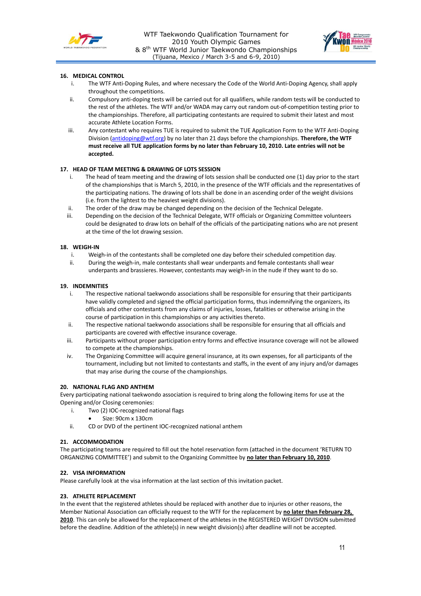



## **16. MEDICAL CONTROL**

- i. The WTF Anti-Doping Rules, and where necessary the Code of the World Anti-Doping Agency, shall apply throughout the competitions.
- ii. Compulsory anti-doping tests will be carried out for all qualifiers, while random tests will be conducted to the rest of the athletes. The WTF and/or WADA may carry out random out-of-competition testing prior to the championships. Therefore, all participating contestants are required to submit their latest and most accurate Athlete Location Forms.
- iii. Any contestant who requires TUE is required to submit the TUE Application Form to the WTF Anti-Doping Division [\(antidoping@wtf.org\)](mailto:antidoping@wtf.org) by no later than 21 days before the championships. **Therefore, the WTF must receive all TUE application forms by no later than February 10, 2010. Late entries will not be accepted.**

## **17. HEAD OF TEAM MEETING & DRAWING OF LOTS SESSION**

- i. The head of team meeting and the drawing of lots session shall be conducted one (1) day prior to the start of the championships that is March 5, 2010, in the presence of the WTF officials and the representatives of the participating nations. The drawing of lots shall be done in an ascending order of the weight divisions (i.e. from the lightest to the heaviest weight divisions).
- ii. The order of the draw may be changed depending on the decision of the Technical Delegate.
- iii. Depending on the decision of the Technical Delegate, WTF officials or Organizing Committee volunteers could be designated to draw lots on behalf of the officials of the participating nations who are not present at the time of the lot drawing session.

#### **18. WEIGH-IN**

- i. Weigh-in of the contestants shall be completed one day before their scheduled competition day.
- ii. During the weigh-in, male contestants shall wear underpants and female contestants shall wear underpants and brassieres. However, contestants may weigh-in in the nude if they want to do so.

#### **19. INDEMNITIES**

- i. The respective national taekwondo associations shall be responsible for ensuring that their participants have validly completed and signed the official participation forms, thus indemnifying the organizers, its officials and other contestants from any claims of injuries, losses, fatalities or otherwise arising in the course of participation in this championships or any activities thereto.
- ii. The respective national taekwondo associations shall be responsible for ensuring that all officials and participants are covered with effective insurance coverage.
- iii. Participants without proper participation entry forms and effective insurance coverage will not be allowed to compete at the championships.
- iv. The Organizing Committee will acquire general insurance, at its own expenses, for all participants of the tournament, including but not limited to contestants and staffs, in the event of any injury and/or damages that may arise during the course of the championships.

## **20. NATIONAL FLAG AND ANTHEM**

Every participating national taekwondo association is required to bring along the following items for use at the Opening and/or Closing ceremonies:

- i. Two (2) IOC-recognized national flags
	- Size: 90cm x 130cm
- ii. CD or DVD of the pertinent IOC-recognized national anthem

## **21. ACCOMMODATION**

The participating teams are required to fill out the hotel reservation form (attached in the document 'RETURN TO ORGANIZING COMMITTEE') and submit to the Organizing Committee by **no later than February 10, 2010**.

## **22. VISA INFORMATION**

Please carefully look at the visa information at the last section of this invitation packet.

## **23. ATHLETE REPLACEMENT**

In the event that the registered athletes should be replaced with another due to injuries or other reasons, the Member National Association can officially request to the WTF for the replacement by **no later than February 28, 2010**. This can only be allowed for the replacement of the athletes in the REGISTERED WEIGHT DIVISION submitted before the deadline. Addition of the athlete(s) in new weight division(s) after deadline will not be accepted.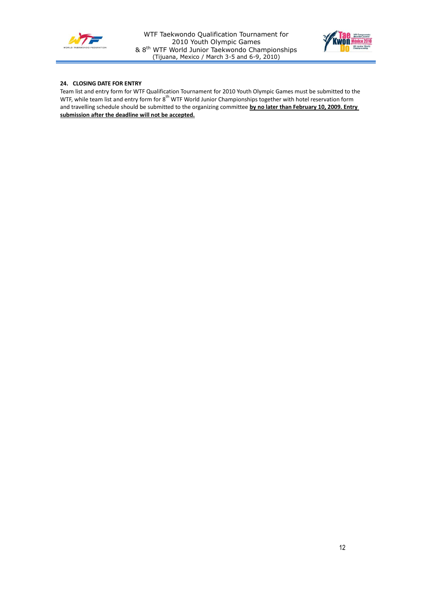



## **24. CLOSING DATE FOR ENTRY**

Team list and entry form for WTF Qualification Tournament for 2010 Youth Olympic Games must be submitted to the WTF, while team list and entry form for 8<sup>th</sup> WTF World Junior Championships together with hotel reservation form and travelling schedule should be submitted to the organizing committee **by no later than February 10, 2009. Entry submission after the deadline will not be accepted.**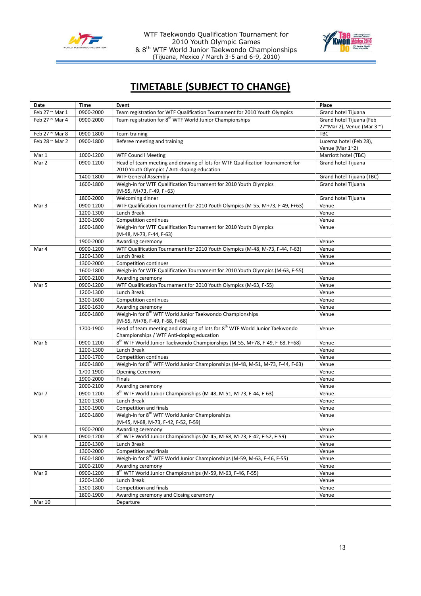

WTF Taekwondo Qualification Tournament for 2010 Youth Olympic Games & 8<sup>th</sup> WTF World Junior Taekwondo Championships (Tijuana, Mexico / March 3-5 and 6-9, 2010)



# **TIMETABLE (SUBJECT TO CHANGE)**

| Date                  | <b>Time</b>                                                                       | Event                                                                                                                                | Place                     |
|-----------------------|-----------------------------------------------------------------------------------|--------------------------------------------------------------------------------------------------------------------------------------|---------------------------|
| Feb 27 $\sim$ Mar 1   | 0900-2000                                                                         | Team registration for WTF Qualification Tournament for 2010 Youth Olympics                                                           | Grand hotel Tijuana       |
| Feb 27 $\sim$ Mar 4   | Team registration for 8 <sup>th</sup> WTF World Junior Championships<br>0900-2000 |                                                                                                                                      | Grand hotel Tijuana (Feb  |
|                       |                                                                                   |                                                                                                                                      | 27~Mar 2), Venue (Mar 3~) |
| Feb $27$ $\sim$ Mar 8 | 0900-1800                                                                         | Team training                                                                                                                        | <b>TBC</b>                |
| Feb 28 $\sim$ Mar 2   | 0900-1800                                                                         | Referee meeting and training                                                                                                         | Lucerna hotel (Feb 28),   |
|                       |                                                                                   |                                                                                                                                      | Venue (Mar 1~2)           |
| Mar 1                 | 1000-1200                                                                         | <b>WTF Council Meeting</b>                                                                                                           | Marriott hotel (TBC)      |
| Mar 2                 | 0900-1200                                                                         | Head of team meeting and drawing of lots for WTF Qualification Tournament for                                                        | Grand hotel Tijuana       |
|                       |                                                                                   | 2010 Youth Olympics / Anti-doping education                                                                                          |                           |
|                       | 1400-1800                                                                         | <b>WTF General Assembly</b>                                                                                                          | Grand hotel Tijuana (TBC) |
|                       | 1600-1800                                                                         | Weigh-in for WTF Qualification Tournament for 2010 Youth Olympics                                                                    | Grand hotel Tijuana       |
|                       |                                                                                   | (M-55, M+73, F-49, F+63)                                                                                                             |                           |
|                       | 1800-2000                                                                         | Welcoming dinner                                                                                                                     | Grand hotel Tijuana       |
| Mar 3                 | 0900-1200                                                                         | WTF Qualification Tournament for 2010 Youth Olympics (M-55, M+73, F-49, F+63)                                                        | Venue                     |
|                       | 1200-1300                                                                         | Lunch Break                                                                                                                          | Venue                     |
|                       | 1300-1900                                                                         | <b>Competition continues</b>                                                                                                         | Venue                     |
|                       | 1600-1800                                                                         | Weigh-in for WTF Qualification Tournament for 2010 Youth Olympics                                                                    | Venue                     |
|                       |                                                                                   | (M-48, M-73, F-44, F-63)                                                                                                             |                           |
|                       | 1900-2000                                                                         | Awarding ceremony                                                                                                                    | Venue                     |
| Mar 4                 | 0900-1200                                                                         | WTF Qualification Tournament for 2010 Youth Olympics (M-48, M-73, F-44, F-63)                                                        | Venue                     |
|                       | 1200-1300                                                                         | <b>Lunch Break</b>                                                                                                                   | Venue                     |
|                       | 1300-2000                                                                         | Competition continues                                                                                                                | Venue                     |
|                       | 1600-1800                                                                         | Weigh-in for WTF Qualification Tournament for 2010 Youth Olympics (M-63, F-55)                                                       |                           |
|                       | 2000-2100                                                                         | Awarding ceremony                                                                                                                    | Venue                     |
| Mar 5                 | 0900-1200                                                                         | WTF Qualification Tournament for 2010 Youth Olympics (M-63, F-55)                                                                    | Venue                     |
|                       | 1200-1300                                                                         | Lunch Break                                                                                                                          | Venue                     |
|                       | 1300-1600                                                                         | Competition continues                                                                                                                | Venue                     |
|                       | 1600-1630                                                                         | Awarding ceremony                                                                                                                    | Venue                     |
|                       | 1600-1800                                                                         | Weigh-in for 8 <sup>th</sup> WTF World Junior Taekwondo Championships<br>(M-55, M+78, F-49, F-68, F+68)                              | Venue                     |
|                       | 1700-1900                                                                         | Head of team meeting and drawing of lots for 8 <sup>th</sup> WTF World Junior Taekwondo<br>Championships / WTF Anti-doping education | Venue                     |
| Mar 6                 | 0900-1200                                                                         | 8 <sup>th</sup> WTF World Junior Taekwondo Championships (M-55, M+78, F-49, F-68, F+68)                                              | Venue                     |
|                       | 1200-1300                                                                         | Lunch Break                                                                                                                          | Venue                     |
|                       | 1300-1700                                                                         | Competition continues                                                                                                                | Venue                     |
|                       | 1600-1800                                                                         | Weigh-in for 8 <sup>th</sup> WTF World Junior Championships (M-48, M-51, M-73, F-44, F-63)                                           | Venue                     |
|                       | 1700-1900                                                                         | <b>Opening Ceremony</b>                                                                                                              | Venue                     |
|                       | 1900-2000                                                                         | Finals                                                                                                                               | Venue                     |
|                       | 2000-2100                                                                         | Awarding ceremony                                                                                                                    | Venue                     |
| Mar 7                 | 0900-1200                                                                         | 8 <sup>th</sup> WTF World Junior Championships (M-48, M-51, M-73, F-44, F-63)                                                        | Venue                     |
|                       | 1200-1300                                                                         | Lunch Break                                                                                                                          | Venue                     |
|                       | 1300-1900                                                                         | Competition and finals                                                                                                               | Venue                     |
|                       | 1600-1800                                                                         | Weigh-in for 8 <sup>th</sup> WTF World Junior Championships                                                                          | Venue                     |
|                       |                                                                                   | (M-45, M-68, M-73, F-42, F-52, F-59)                                                                                                 |                           |
|                       | 1900-2000                                                                         | Awarding ceremony                                                                                                                    | Venue                     |
| Mar 8                 | 0900-1200                                                                         | 8 <sup>th</sup> WTF World Junior Championships (M-45, M-68, M-73, F-42, F-52, F-59)                                                  | Venue                     |
|                       | 1200-1300                                                                         | Lunch Break                                                                                                                          | Venue                     |
|                       | 1300-2000                                                                         | Competition and finals                                                                                                               | Venue                     |
|                       | 1600-1800                                                                         | Weigh-in for 8 <sup>th</sup> WTF World Junior Championships (M-59, M-63, F-46, F-55)                                                 | Venue                     |
|                       | 2000-2100                                                                         | Awarding ceremony                                                                                                                    | Venue                     |
| Mar 9                 | 0900-1200                                                                         | 8 <sup>th</sup> WTF World Junior Championships (M-59, M-63, F-46, F-55)                                                              | Venue                     |
|                       | 1200-1300                                                                         | Lunch Break                                                                                                                          | Venue                     |
|                       | 1300-1800                                                                         | Competition and finals                                                                                                               | Venue                     |
|                       | 1800-1900                                                                         | Awarding ceremony and Closing ceremony                                                                                               | Venue                     |
| <b>Mar 10</b>         |                                                                                   | Departure                                                                                                                            |                           |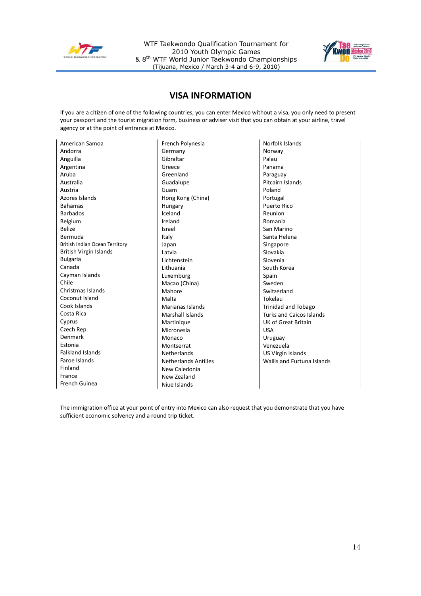

WTF Taekwondo Qualification Tournament for 2010 Youth Olympic Games & 8th WTF World Junior Taekwondo Championships (Tijuana, Mexico / March 3-4 and 6-9, 2010)



# **VISA INFORMATION**

If you are a citizen of one of the following countries, you can enter Mexico without a visa, you only need to present your passport and the tourist migration form, business or adviser visit that you can obtain at your airline, travel agency or at the point of entrance at Mexico.

| American Samoa                 |
|--------------------------------|
| Andorra                        |
| Anguilla                       |
| Argentina                      |
| Aruba                          |
| Australia                      |
| Austria                        |
| Azores Islands                 |
| <b>Bahamas</b>                 |
| <b>Barbados</b>                |
| Belgium                        |
| <b>Belize</b>                  |
| Bermuda                        |
| British Indian Ocean Territory |
| British Virgin Islands         |
| <b>Bulgaria</b>                |
| Canada                         |
| Cayman Islands                 |
| Chile                          |
| Christmas Islands              |
| Coconut Island                 |
| Cook Islands                   |
| Costa Rica                     |
| Cyprus                         |
| Czech Rep.                     |
| Denmark                        |
| Estonia                        |
| <b>Falkland Islands</b>        |
| Faroe Islands                  |
| Finland                        |
| France                         |
| French Guinea                  |
|                                |

French Polynesia Germany Gibraltar Greece Greenland Guadalupe Guam Hong Kong (China) Hungary Iceland Ireland Israel Italy Japan Latvia Lichtenstein Lithuania Luxemburg Macao (China) Mahore Malta Marianas Islands Marshall Islands **Martinique** Micronesia Monaco Montserrat Netherlands Netherlands Antilles New Caledonia New Zealand Niue Islands

Norfolk Islands Norway Palau Panama Paraguay Pitcairn Islands Poland Portugal Puerto Rico Reunion Romania San Marino Santa Helena Singapore Slovakia Slovenia South Korea Spain Sweden Switzerland Tokelau Trinidad and Tobago Turks and Caicos Islands UK of Great Britain USA Uruguay Venezuela US Virgin Islands Wallis and Furtuna Islands

The immigration office at your point of entry into Mexico can also request that you demonstrate that you have sufficient economic solvency and a round trip ticket.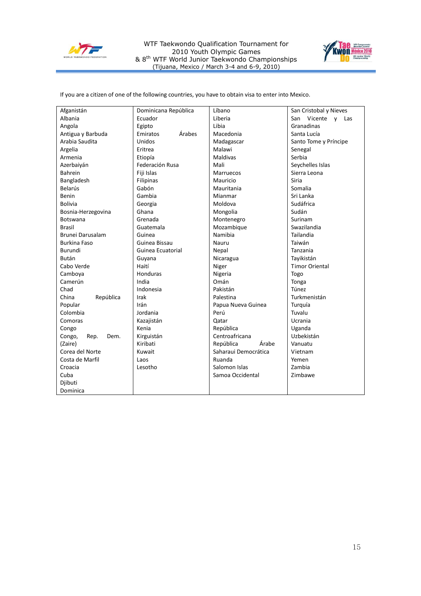

WTF Taekwondo Qualification Tournament for 2010 Youth Olympic Games & 8<sup>th</sup> WTF World Junior Taekwondo Championships (Tijuana, Mexico / March 3-4 and 6-9, 2010)



If you are a citizen of one of the following countries, you have to obtain visa to enter into Mexico.

| Afganistán             | Dominicana República | Líbano               | San Cristobal y Nieves |
|------------------------|----------------------|----------------------|------------------------|
| Albania                | Ecuador              | Liberia              | San Vicente y Las      |
| Angola                 | Egipto               | Libia                | Granadinas             |
| Antigua y Barbuda      | Árabes<br>Emiratos   | Macedonia            | Santa Lucía            |
| Arabia Saudita         | Unidos               | Madagascar           | Santo Tome y Príncipe  |
| Argelia                | Eritrea              | Malawi               | Senegal                |
| Armenia                | Etiopía              | <b>Maldivas</b>      | Serbia                 |
| Azerbaiyán             | Federación Rusa      | Mali                 | Seychelles Islas       |
| Bahrein                | Fiji Islas           | <b>Marruecos</b>     | Sierra Leona           |
| Bangladesh             | Filipinas            | Mauricio             | Siria                  |
| <b>Belarús</b>         | Gabón                | Mauritania           | Somalia                |
| <b>Benin</b>           | Gambia               | Mianmar              | Sri Lanka              |
| <b>Bolivia</b>         | Georgia              | Moldova              | Sudáfrica              |
| Bosnia-Herzegovina     | Ghana                | Mongolia             | Sudán                  |
| <b>Botswana</b>        | Grenada              | Montenegro           | Surinam                |
| <b>Brasil</b>          | Guatemala            | Mozambique           | Swazilandia            |
| Brunei Darusalam       | Guinea               | Namibia              | Tailandia              |
| <b>Burkina Faso</b>    | Guinea Bissau        | Nauru                | Taiwán                 |
| Burundi                | Guinea Ecuatorial    | Nepal                | Tanzania               |
| Bután                  | Guyana               | Nicaragua            | Tayikistán             |
| Cabo Verde             | Haití                | Niger                | <b>Timor Oriental</b>  |
| Camboya                | Honduras             | Nigeria              | Togo                   |
| Camerún                | India                | Omán                 | Tonga                  |
| Chad                   | Indonesia            | Pakistán             | Túnez                  |
| República<br>China     | Irak                 | Palestina            | Turkmenistán           |
| Popular                | Irán                 | Papua Nueva Guinea   | Turquía                |
| Colombia               | Jordania             | Perú                 | Tuvalu                 |
| Comoras                | Kazajistán           | Qatar                | Ucrania                |
| Congo                  | Kenia                | República            | Uganda                 |
| Congo,<br>Rep.<br>Dem. | Kirguistán           | Centroafricana       | Uzbekistán             |
| (Zaire)                | Kiribati             | República<br>Árabe   | Vanuatu                |
| Corea del Norte        | Kuwait               | Saharaui Democrática | Vietnam                |
| Costa de Marfil        | Laos                 | Ruanda               | Yemen                  |
| Croacia                | Lesotho              | Salomon Islas        | Zambia                 |
| Cuba                   |                      | Samoa Occidental     | Zimbawe                |
| Djibuti                |                      |                      |                        |
| Dominica               |                      |                      |                        |